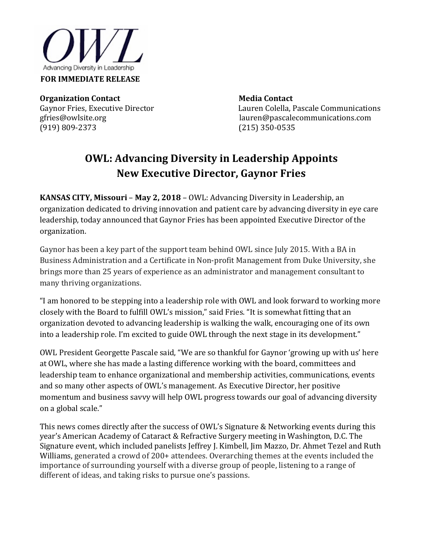

**Organization Contact Media Contact Media Contact** 

Gaynor Fries, Executive Director Lauren Colella, Pascale Communications<br>gfries@owlsite.org discussed auren@pascalecommunications.com gfries@owlsite.orglauren@pascalecommunications.com (215) 350-0535

## **OWL: Advancing Diversity in Leadership Appoints New Executive Director, Gaynor Fries**

**KANSAS CITY, Missouri** – **May 2, 2018** – OWL: Advancing Diversity in Leadership, an organization dedicated to driving innovation and patient care by advancing diversity in eye care leadership, today announced that Gaynor Fries has been appointed Executive Director of the organization.

Gaynor has been a key part of the support team behind OWL since July 2015. With a BA in Business Administration and a Certificate in Non-profit Management from Duke University, she brings more than 25 years of experience as an administrator and management consultant to many thriving organizations.

"I am honored to be stepping into a leadership role with OWL and look forward to working more closely with the Board to fulfill OWL's mission," said Fries. "It is somewhat fitting that an organization devoted to advancing leadership is walking the walk, encouraging one of its own into a leadership role. I'm excited to guide OWL through the next stage in its development."

OWL President Georgette Pascale said, "We are so thankful for Gaynor 'growing up with us' here at OWL, where she has made a lasting difference working with the board, committees and leadership team to enhance organizational and membership activities, communications, events and so many other aspects of OWL's management. As Executive Director, her positive momentum and business savvy will help OWL progress towards our goal of advancing diversity on a global scale."

This news comes directly after the success of OWL's Signature & Networking events during this year's American Academy of Cataract & Refractive Surgery meeting in Washington, D.C. The Signature event, which included panelists Jeffrey J. Kimbell, Jim Mazzo, Dr. Ahmet Tezel and Ruth Williams, generated a crowd of 200+ attendees. Overarching themes at the events included the importance of surrounding yourself with a diverse group of people, listening to a range of different of ideas, and taking risks to pursue one's passions.